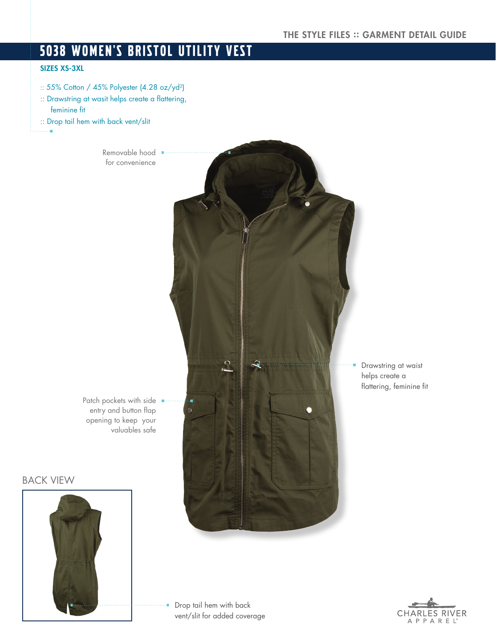# 5038 WOMEN'S BRISTOL UTILITY VEST

## SIZES XS-3XL

:: 55% Cotton / 45% Polyester (4.28 oz/yd<sup>2</sup>) :: Drawstring at wasit helps create a flattering, feminine fit :: Drop tail hem with back vent/slit

> Removable hood for convenience

Patch pockets with side entry and button flap opening to keep your valuables safe

BACK VIEW



Drop tail hem with back a. vent/slit for added coverage

Drawstring at waist helps create a flattering, feminine fit